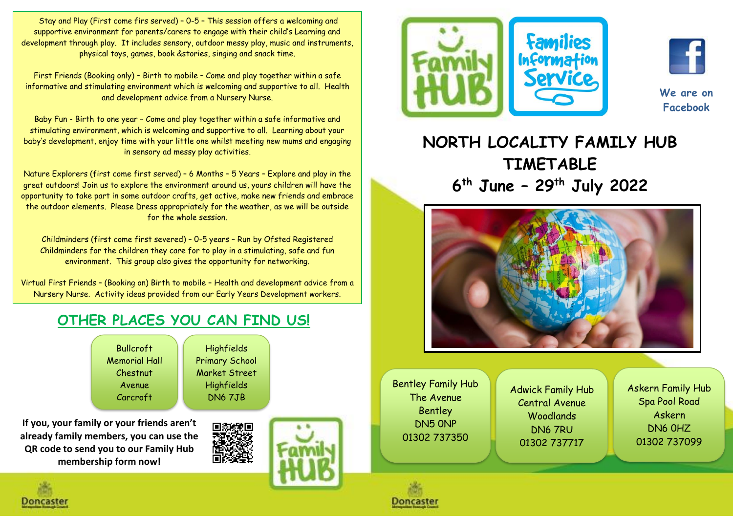Stay and Play (First come firs served) – 0-5 – This session offers a welcoming and supportive environment for parents/carers to engage with their child's Learning and development through play. It includes sensory, outdoor messy play, music and instruments, physical toys, games, book &stories, singing and snack time.

First Friends (Booking only) – Birth to mobile – Come and play together within a safe informative and stimulating environment which is welcoming and supportive to all. Health and development advice from a Nursery Nurse.

Baby Fun - Birth to one year – Come and play together within a safe informative and stimulating environment, which is welcoming and supportive to all. Learning about your baby's development, enjoy time with your little one whilst meeting new mums and engaging in sensory ad messy play activities.

Nature Explorers (first come first served) – 6 Months – 5 Years – Explore and play in the great outdoors! Join us to explore the environment around us, yours children will have the opportunity to take part in some outdoor crafts, get active, make new friends and embrace the outdoor elements. Please Dress appropriately for the weather, as we will be outside for the whole session.

Childminders (first come first severed) – 0-5 years – Run by Ofsted Registered Childminders for the children they care for to play in a stimulating, safe and fun environment. This group also gives the opportunity for networking.

Virtual First Friends – (Booking on) Birth to mobile – Health and development advice from a Nursery Nurse. Activity ideas provided from our Early Years Development workers.

## **OTHER PLACES YOU CAN FIND US!**

Bullcroft Memorial Hall Chestnut Avenue Carcroft

DN6 8AP

**If you, your family or your friends aren't already family members, you can use the QR code to send you to our Family Hub membership form now!**



Highfields Primary School Market Street Highfields DN6 7JB







**We are on Facebook**

## **NORTH LOCALITY FAMILY HUB TIMETABLE 6 th June – 29th July 2022**



Bentley Family Hub The Avenue **Bentley** DN5 0NP 01302 737350

Doncaster

Adwick Family Hub Central Avenue **Woodlands** DN6 7RU 01302 737717

Askern Family Hub Spa Pool Road Askern DN6 0HZ 01302 737099